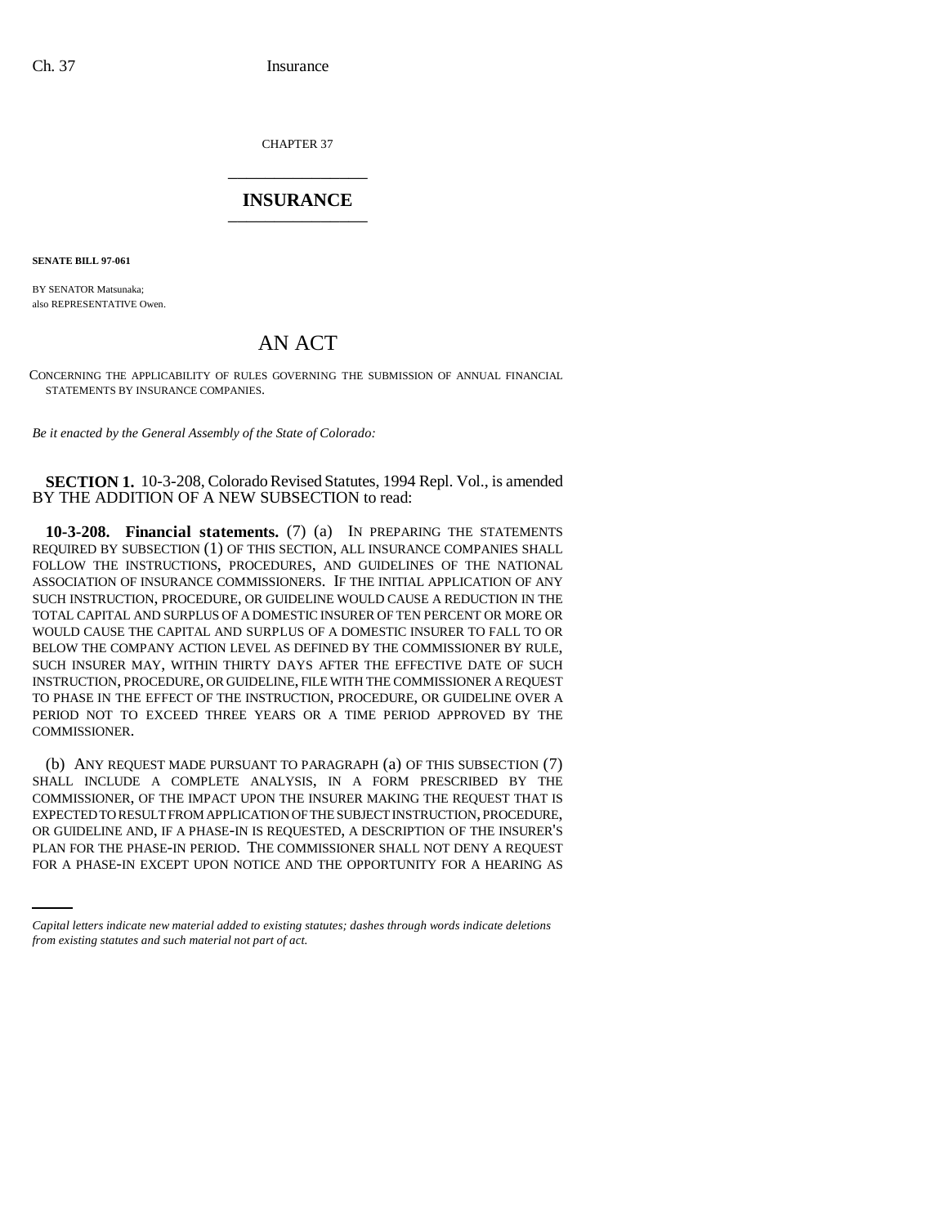CHAPTER 37 \_\_\_\_\_\_\_\_\_\_\_\_\_\_\_

## **INSURANCE** \_\_\_\_\_\_\_\_\_\_\_\_\_\_\_

**SENATE BILL 97-061**

BY SENATOR Matsunaka; also REPRESENTATIVE Owen.

# AN ACT

CONCERNING THE APPLICABILITY OF RULES GOVERNING THE SUBMISSION OF ANNUAL FINANCIAL STATEMENTS BY INSURANCE COMPANIES.

*Be it enacted by the General Assembly of the State of Colorado:*

### **SECTION 1.** 10-3-208, Colorado Revised Statutes, 1994 Repl. Vol., is amended BY THE ADDITION OF A NEW SUBSECTION to read:

**10-3-208. Financial statements.** (7) (a) IN PREPARING THE STATEMENTS REQUIRED BY SUBSECTION (1) OF THIS SECTION, ALL INSURANCE COMPANIES SHALL FOLLOW THE INSTRUCTIONS, PROCEDURES, AND GUIDELINES OF THE NATIONAL ASSOCIATION OF INSURANCE COMMISSIONERS. IF THE INITIAL APPLICATION OF ANY SUCH INSTRUCTION, PROCEDURE, OR GUIDELINE WOULD CAUSE A REDUCTION IN THE TOTAL CAPITAL AND SURPLUS OF A DOMESTIC INSURER OF TEN PERCENT OR MORE OR WOULD CAUSE THE CAPITAL AND SURPLUS OF A DOMESTIC INSURER TO FALL TO OR BELOW THE COMPANY ACTION LEVEL AS DEFINED BY THE COMMISSIONER BY RULE, SUCH INSURER MAY, WITHIN THIRTY DAYS AFTER THE EFFECTIVE DATE OF SUCH INSTRUCTION, PROCEDURE, OR GUIDELINE, FILE WITH THE COMMISSIONER A REQUEST TO PHASE IN THE EFFECT OF THE INSTRUCTION, PROCEDURE, OR GUIDELINE OVER A PERIOD NOT TO EXCEED THREE YEARS OR A TIME PERIOD APPROVED BY THE COMMISSIONER.

OR GUIDELINE AND, IF A PHASE-IN IS REQUESTED, A DESCRIPTION OF THE INSURER'S (b) ANY REQUEST MADE PURSUANT TO PARAGRAPH (a) OF THIS SUBSECTION (7) SHALL INCLUDE A COMPLETE ANALYSIS, IN A FORM PRESCRIBED BY THE COMMISSIONER, OF THE IMPACT UPON THE INSURER MAKING THE REQUEST THAT IS EXPECTED TO RESULT FROM APPLICATION OF THE SUBJECT INSTRUCTION, PROCEDURE, PLAN FOR THE PHASE-IN PERIOD. THE COMMISSIONER SHALL NOT DENY A REQUEST FOR A PHASE-IN EXCEPT UPON NOTICE AND THE OPPORTUNITY FOR A HEARING AS

*Capital letters indicate new material added to existing statutes; dashes through words indicate deletions from existing statutes and such material not part of act.*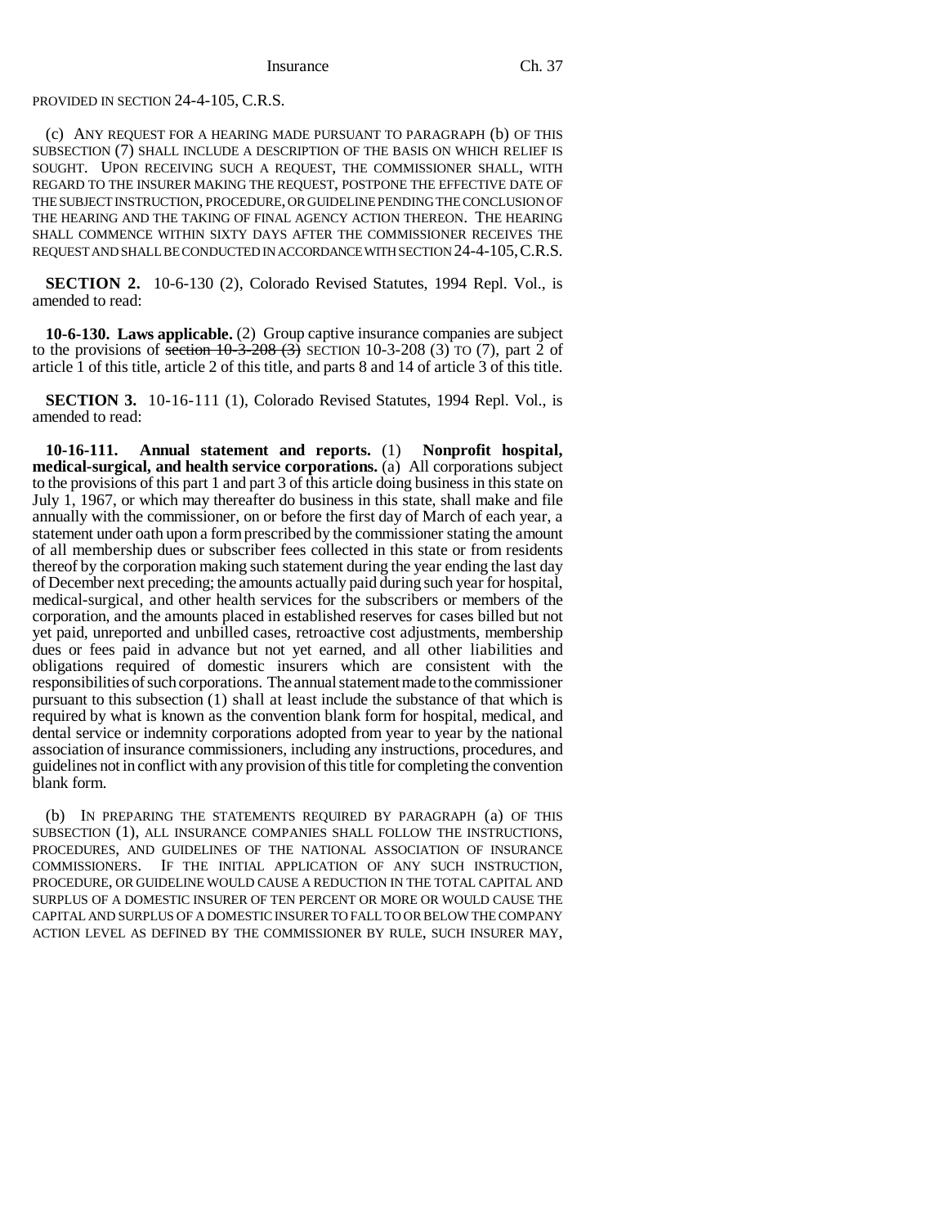#### PROVIDED IN SECTION 24-4-105, C.R.S.

(c) ANY REQUEST FOR A HEARING MADE PURSUANT TO PARAGRAPH (b) OF THIS SUBSECTION (7) SHALL INCLUDE A DESCRIPTION OF THE BASIS ON WHICH RELIEF IS SOUGHT. UPON RECEIVING SUCH A REQUEST, THE COMMISSIONER SHALL, WITH REGARD TO THE INSURER MAKING THE REQUEST, POSTPONE THE EFFECTIVE DATE OF THE SUBJECT INSTRUCTION, PROCEDURE, OR GUIDELINE PENDING THE CONCLUSION OF THE HEARING AND THE TAKING OF FINAL AGENCY ACTION THEREON. THE HEARING SHALL COMMENCE WITHIN SIXTY DAYS AFTER THE COMMISSIONER RECEIVES THE REQUEST AND SHALL BE CONDUCTED IN ACCORDANCE WITH SECTION 24-4-105,C.R.S.

**SECTION 2.** 10-6-130 (2), Colorado Revised Statutes, 1994 Repl. Vol., is amended to read:

**10-6-130. Laws applicable.** (2) Group captive insurance companies are subject to the provisions of section  $10-3-208$  (3) SECTION 10-3-208 (3) TO (7), part 2 of article 1 of this title, article 2 of this title, and parts 8 and 14 of article 3 of this title.

**SECTION 3.** 10-16-111 (1), Colorado Revised Statutes, 1994 Repl. Vol., is amended to read:

**10-16-111. Annual statement and reports.** (1) **Nonprofit hospital, medical-surgical, and health service corporations.** (a) All corporations subject to the provisions of this part 1 and part 3 of this article doing business in this state on July 1, 1967, or which may thereafter do business in this state, shall make and file annually with the commissioner, on or before the first day of March of each year, a statement under oath upon a form prescribed by the commissioner stating the amount of all membership dues or subscriber fees collected in this state or from residents thereof by the corporation making such statement during the year ending the last day of December next preceding; the amounts actually paid during such year for hospital, medical-surgical, and other health services for the subscribers or members of the corporation, and the amounts placed in established reserves for cases billed but not yet paid, unreported and unbilled cases, retroactive cost adjustments, membership dues or fees paid in advance but not yet earned, and all other liabilities and obligations required of domestic insurers which are consistent with the responsibilities of such corporations. The annual statement made to the commissioner pursuant to this subsection (1) shall at least include the substance of that which is required by what is known as the convention blank form for hospital, medical, and dental service or indemnity corporations adopted from year to year by the national association of insurance commissioners, including any instructions, procedures, and guidelines not in conflict with any provision of this title for completing the convention blank form.

(b) IN PREPARING THE STATEMENTS REQUIRED BY PARAGRAPH (a) OF THIS SUBSECTION (1), ALL INSURANCE COMPANIES SHALL FOLLOW THE INSTRUCTIONS, PROCEDURES, AND GUIDELINES OF THE NATIONAL ASSOCIATION OF INSURANCE COMMISSIONERS. IF THE INITIAL APPLICATION OF ANY SUCH INSTRUCTION, PROCEDURE, OR GUIDELINE WOULD CAUSE A REDUCTION IN THE TOTAL CAPITAL AND SURPLUS OF A DOMESTIC INSURER OF TEN PERCENT OR MORE OR WOULD CAUSE THE CAPITAL AND SURPLUS OF A DOMESTIC INSURER TO FALL TO OR BELOW THE COMPANY ACTION LEVEL AS DEFINED BY THE COMMISSIONER BY RULE, SUCH INSURER MAY,